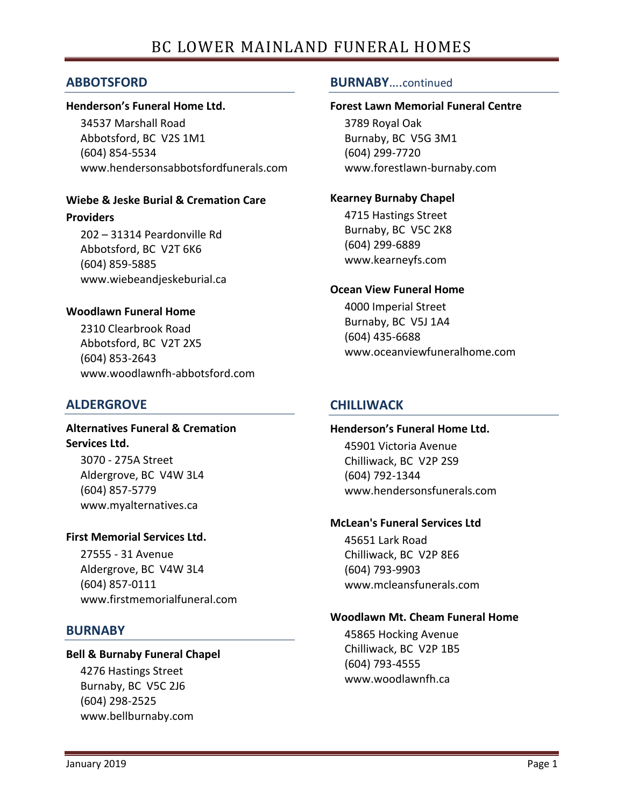# **ABBOTSFORD**

#### **Henderson's Funeral Home Ltd.**

34537 Marshall Road Abbotsford, BC V2S 1M1 (604) 854-5534 www.hendersonsabbotsfordfunerals.com

### **Wiebe & Jeske Burial & Cremation Care Providers**

202 – 31314 Peardonville Rd Abbotsford, BC V2T 6K6 (604) 859-5885 www.wiebeandjeskeburial.ca

### **Woodlawn Funeral Home**

2310 Clearbrook Road Abbotsford, BC V2T 2X5 (604) 853-2643 www.woodlawnfh-abbotsford.com

## **ALDERGROVE**

### **Alternatives Funeral & Cremation Services Ltd.**

3070 - 275A Street Aldergrove, BC V4W 3L4 (604) 857-5779 www.myalternatives.ca

#### **First Memorial Services Ltd.**

27555 - 31 Avenue Aldergrove, BC V4W 3L4 (604) 857-0111 www.firstmemorialfuneral.com

## **BURNABY**

#### **Bell & Burnaby Funeral Chapel**

4276 Hastings Street Burnaby, BC V5C 2J6 (604) 298-2525 www.bellburnaby.com

# **BURNABY**….continued

### **Forest Lawn Memorial Funeral Centre**

3789 Royal Oak Burnaby, BC V5G 3M1 (604) 299-7720 www.forestlawn-burnaby.com

#### **Kearney Burnaby Chapel**

4715 Hastings Street Burnaby, BC V5C 2K8 (604) 299-6889 [www.kearneyfs.com](http://www.kearneyfs.com/)

#### **Ocean View Funeral Home**

4000 Imperial Street Burnaby, BC V5J 1A4 (604) 435-6688 www.oceanviewfuneralhome.com

## **CHILLIWACK**

#### **Henderson's Funeral Home Ltd.**

45901 Victoria Avenue Chilliwack, BC V2P 2S9 (604) 792-1344 www.hendersonsfunerals.com

#### **McLean's Funeral Services Ltd**

45651 Lark Road Chilliwack, BC V2P 8E6 (604) 793-9903 [www.mcleansfunerals.com](http://www.mcleansfunerals.com/)

#### **Woodlawn Mt. Cheam Funeral Home**

45865 Hocking Avenue Chilliwack, BC V2P 1B5 (604) 793-4555 [www.woodlawnfh.ca](http://www.woodlawnfh.ca/)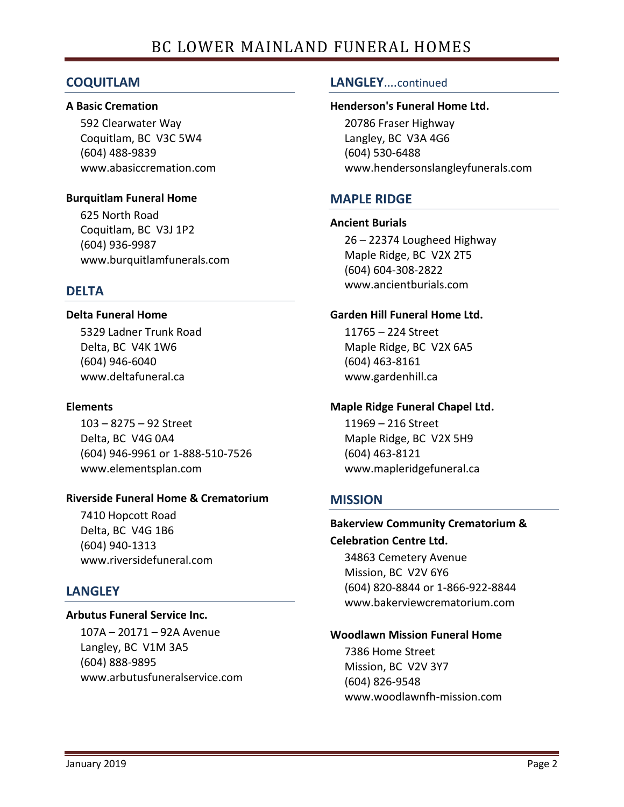# **COQUITLAM**

### **A Basic Cremation**

592 Clearwater Way Coquitlam, BC V3C 5W4 (604) 488-9839 www.abasiccremation.com

### **Burquitlam Funeral Home**

625 North Road Coquitlam, BC V3J 1P2 (604) 936-9987 www.burquitlamfunerals.com

# **DELTA**

### **Delta Funeral Home**

5329 Ladner Trunk Road Delta, BC V4K 1W6 (604) 946-6040 www.deltafuneral.ca

### **Elements**

103 – 8275 – 92 Street Delta, BC V4G 0A4 (604) 946-9961 or 1-888-510-7526 www.elementsplan.com

## **Riverside Funeral Home & Crematorium**

7410 Hopcott Road Delta, BC V4G 1B6 (604) 940-1313 www.riversidefuneral.com

# **LANGLEY**

#### **Arbutus Funeral Service Inc.**

107A – 20171 – 92A Avenue Langley, BC V1M 3A5 (604) 888-9895 www.arbutusfuneralservice.com

# **LANGLEY**….continued

#### **Henderson's Funeral Home Ltd.**

20786 Fraser Highway Langley, BC V3A 4G6 (604) 530-6488 www.hendersonslangleyfunerals.com

# **MAPLE RIDGE**

#### **Ancient Burials**

26 – 22374 Lougheed Highway Maple Ridge, BC V2X 2T5 (604) 604-308-2822 www.ancientburials.com

### **Garden Hill Funeral Home Ltd.**

11765 – 224 Street Maple Ridge, BC V2X 6A5 (604) 463-8161 www.gardenhill.ca

#### **Maple Ridge Funeral Chapel Ltd.**

11969 – 216 Street Maple Ridge, BC V2X 5H9 (604) 463-8121 [www.mapleridgefuneral.ca](http://www.mapleridgefuneral.ca/)

# **MISSION**

#### **Bakerview Community Crematorium & Celebration Centre Ltd.**

34863 Cemetery Avenue Mission, BC V2V 6Y6 (604) 820-8844 or 1-866-922-8844 [www.bakerviewcrematorium.com](http://www.woodlawnfh-mission.com/)

#### **Woodlawn Mission Funeral Home**

7386 Home Street Mission, BC V2V 3Y7 (604) 826-9548 [www.woodlawnfh-mission.com](http://www.woodlawnfh-mission.com/)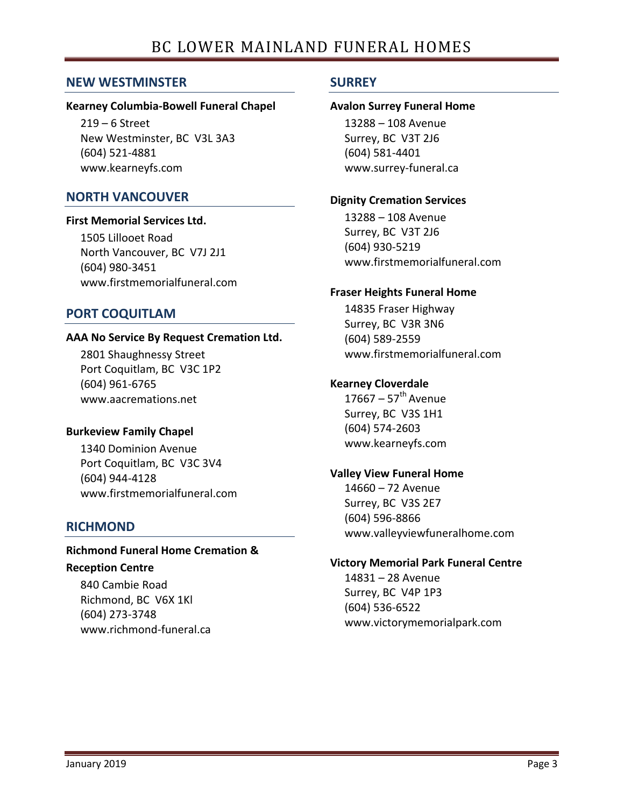# **NEW WESTMINSTER**

#### **Kearney Columbia-Bowell Funeral Chapel**

219 – 6 Street New Westminster, BC V3L 3A3 (604) 521-4881 [www.kearneyfs.com](http://www.kearneyfs.com/)

# **NORTH VANCOUVER**

#### **First Memorial Services Ltd.**

1505 Lillooet Road North Vancouver, BC V7J 2J1 (604) 980-3451 [www.firstmemorialfuneral.com](http://www.firstmemorialfuneral.com/)

# **PORT COQUITLAM**

#### **AAA No Service By Request Cremation Ltd.**

2801 Shaughnessy Street Port Coquitlam, BC V3C 1P2 (604) 961-6765 www.aacremations.net

## **Burkeview Family Chapel**

1340 Dominion Avenue Port Coquitlam, BC V3C 3V4 (604) 944-4128 www.firstmemorialfuneral.com

## **RICHMOND**

# **Richmond Funeral Home Cremation & Reception Centre**

840 Cambie Road Richmond, BC V6X 1Kl (604) 273-3748 www.richmond-funeral.ca

# **SURREY**

### **Avalon Surrey Funeral Home**

13288 – 108 Avenue Surrey, BC V3T 2J6 (604) 581-4401 www.surrey-funeral.ca

#### **Dignity Cremation Services**

13288 – 108 Avenue Surrey, BC V3T 2J6 (604) 930-5219 www.firstmemorialfuneral.com

#### **Fraser Heights Funeral Home**

14835 Fraser Highway Surrey, BC V3R 3N6 (604) 589-2559 www.firstmemorialfuneral.com

### **Kearney Cloverdale**

 $17667 - 57$ <sup>th</sup> Avenue Surrey, BC V3S 1H1 (604) 574-2603 www.kearneyfs.com

## **Valley View Funeral Home**

14660 – 72 Avenue Surrey, BC V3S 2E7 (604) 596-8866 www.valleyviewfuneralhome.com

#### **Victory Memorial Park Funeral Centre**

14831 – 28 Avenue Surrey, BC V4P 1P3 (604) 536-6522 www.victorymemorialpark.com